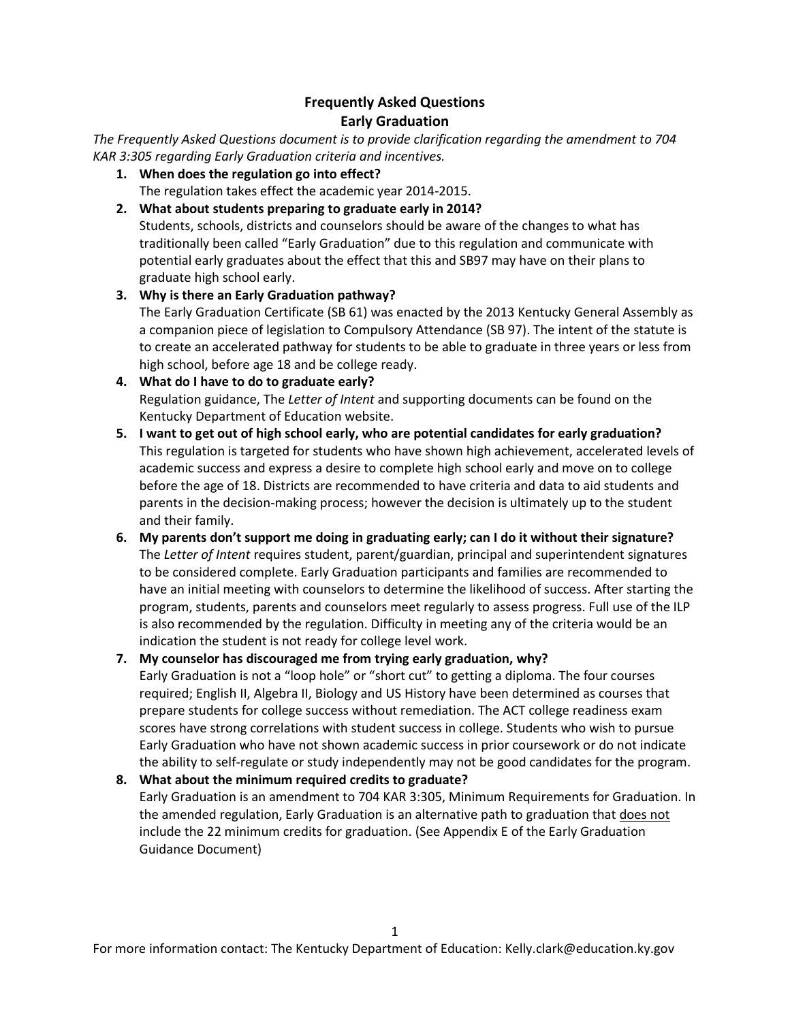# **Frequently Asked Questions Early Graduation**

*The Frequently Asked Questions document is to provide clarification regarding the amendment to 704 KAR 3:305 regarding Early Graduation criteria and incentives.* 

**1. When does the regulation go into effect?** The regulation takes effect the academic year 2014-2015.

### **2. What about students preparing to graduate early in 2014?**

Students, schools, districts and counselors should be aware of the changes to what has traditionally been called "Early Graduation" due to this regulation and communicate with potential early graduates about the effect that this and SB97 may have on their plans to graduate high school early.

# **3. Why is there an Early Graduation pathway?**

The Early Graduation Certificate (SB 61) was enacted by the 2013 Kentucky General Assembly as a companion piece of legislation to Compulsory Attendance (SB 97). The intent of the statute is to create an accelerated pathway for students to be able to graduate in three years or less from high school, before age 18 and be college ready.

### **4. What do I have to do to graduate early?** Regulation guidance, The *Letter of Intent* and supporting documents can be found on the Kentucky Department of Education website.

- **5. I want to get out of high school early, who are potential candidates for early graduation?** This regulation is targeted for students who have shown high achievement, accelerated levels of academic success and express a desire to complete high school early and move on to college before the age of 18. Districts are recommended to have criteria and data to aid students and parents in the decision-making process; however the decision is ultimately up to the student and their family.
- **6. My parents don't support me doing in graduating early; can I do it without their signature?** The *Letter of Intent* requires student, parent/guardian, principal and superintendent signatures to be considered complete. Early Graduation participants and families are recommended to have an initial meeting with counselors to determine the likelihood of success. After starting the program, students, parents and counselors meet regularly to assess progress. Full use of the ILP is also recommended by the regulation. Difficulty in meeting any of the criteria would be an indication the student is not ready for college level work.

# **7. My counselor has discouraged me from trying early graduation, why?** Early Graduation is not a "loop hole" or "short cut" to getting a diploma. The four courses required; English II, Algebra II, Biology and US History have been determined as courses that prepare students for college success without remediation. The ACT college readiness exam scores have strong correlations with student success in college. Students who wish to pursue Early Graduation who have not shown academic success in prior coursework or do not indicate the ability to self-regulate or study independently may not be good candidates for the program.

# **8. What about the minimum required credits to graduate?** Early Graduation is an amendment to 704 KAR 3:305, Minimum Requirements for Graduation. In the amended regulation, Early Graduation is an alternative path to graduation that does not include the 22 minimum credits for graduation. (See Appendix E of the Early Graduation Guidance Document)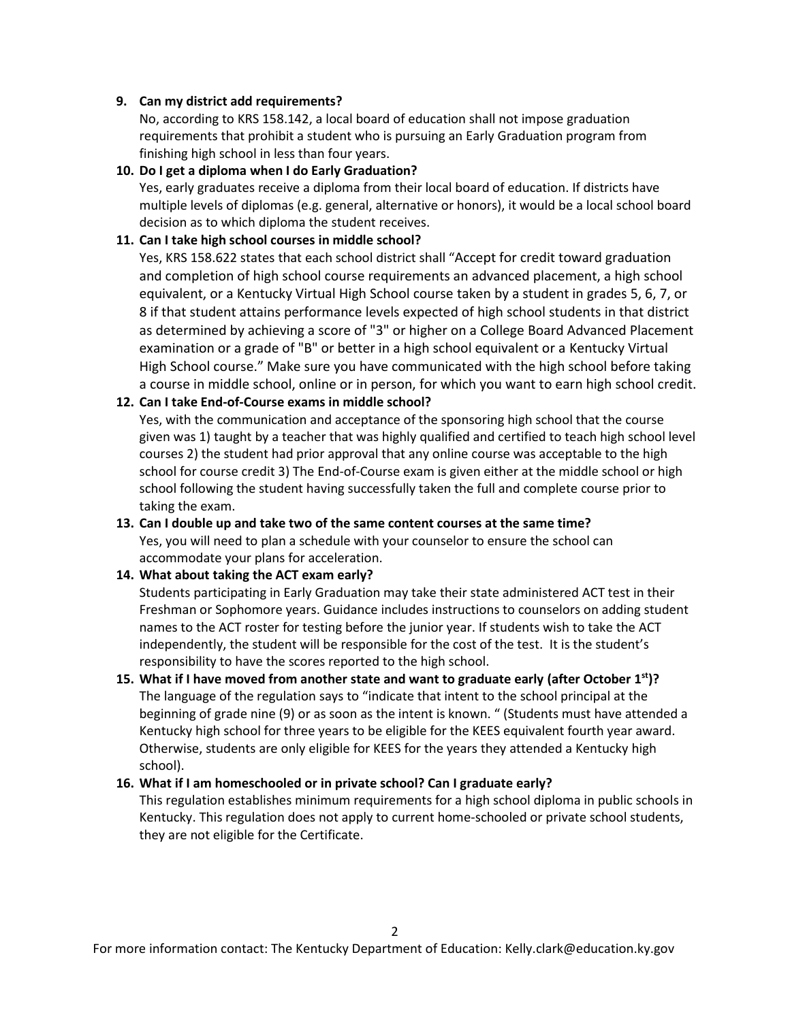#### **9. Can my district add requirements?**

No, according to KRS 158.142, a local board of education shall not impose graduation requirements that prohibit a student who is pursuing an Early Graduation program from finishing high school in less than four years.

#### **10. Do I get a diploma when I do Early Graduation?**

Yes, early graduates receive a diploma from their local board of education. If districts have multiple levels of diplomas (e.g. general, alternative or honors), it would be a local school board decision as to which diploma the student receives.

#### **11. Can I take high school courses in middle school?**

Yes, KRS 158.622 states that each school district shall "Accept for credit toward graduation and completion of high school course requirements an advanced placement, a high school equivalent, or a Kentucky Virtual High School course taken by a student in grades 5, 6, 7, or 8 if that student attains performance levels expected of high school students in that district as determined by achieving a score of "3" or higher on a College Board Advanced Placement examination or a grade of "B" or better in a high school equivalent or a Kentucky Virtual High School course." Make sure you have communicated with the high school before taking a course in middle school, online or in person, for which you want to earn high school credit.

### **12. Can I take End-of-Course exams in middle school?**

Yes, with the communication and acceptance of the sponsoring high school that the course given was 1) taught by a teacher that was highly qualified and certified to teach high school level courses 2) the student had prior approval that any online course was acceptable to the high school for course credit 3) The End-of-Course exam is given either at the middle school or high school following the student having successfully taken the full and complete course prior to taking the exam.

# **13. Can I double up and take two of the same content courses at the same time?**

Yes, you will need to plan a schedule with your counselor to ensure the school can accommodate your plans for acceleration.

### **14. What about taking the ACT exam early?**

Students participating in Early Graduation may take their state administered ACT test in their Freshman or Sophomore years. Guidance includes instructions to counselors on adding student names to the ACT roster for testing before the junior year. If students wish to take the ACT independently, the student will be responsible for the cost of the test. It is the student's responsibility to have the scores reported to the high school.

### **15. What if I have moved from another state and want to graduate early (after October 1st)?** The language of the regulation says to "indicate that intent to the school principal at the beginning of grade nine (9) or as soon as the intent is known. " (Students must have attended a Kentucky high school for three years to be eligible for the KEES equivalent fourth year award. Otherwise, students are only eligible for KEES for the years they attended a Kentucky high school).

### **16. What if I am homeschooled or in private school? Can I graduate early?**

This regulation establishes minimum requirements for a high school diploma in public schools in Kentucky. This regulation does not apply to current home-schooled or private school students, they are not eligible for the Certificate.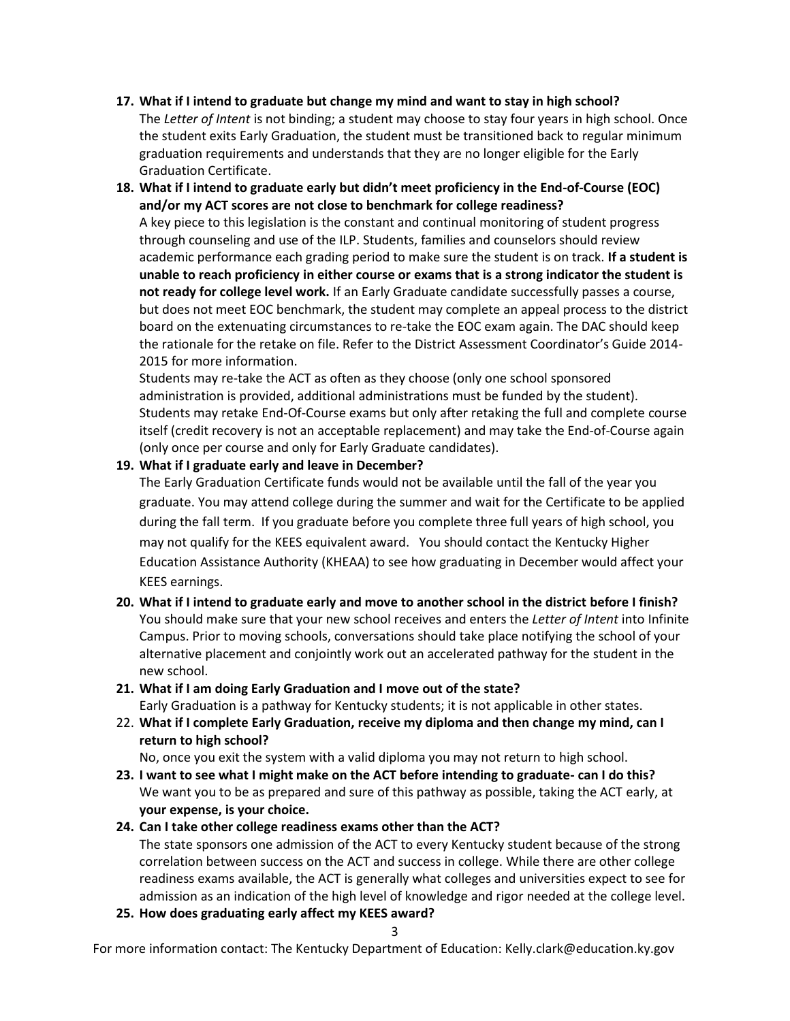# **17. What if I intend to graduate but change my mind and want to stay in high school?**

The *Letter of Intent* is not binding; a student may choose to stay four years in high school. Once the student exits Early Graduation, the student must be transitioned back to regular minimum graduation requirements and understands that they are no longer eligible for the Early Graduation Certificate.

# **18. What if I intend to graduate early but didn't meet proficiency in the End-of-Course (EOC) and/or my ACT scores are not close to benchmark for college readiness?**

A key piece to this legislation is the constant and continual monitoring of student progress through counseling and use of the ILP. Students, families and counselors should review academic performance each grading period to make sure the student is on track. **If a student is unable to reach proficiency in either course or exams that is a strong indicator the student is not ready for college level work.** If an Early Graduate candidate successfully passes a course, but does not meet EOC benchmark, the student may complete an appeal process to the district board on the extenuating circumstances to re-take the EOC exam again. The DAC should keep the rationale for the retake on file. Refer to the District Assessment Coordinator's Guide 2014- 2015 for more information.

Students may re-take the ACT as often as they choose (only one school sponsored administration is provided, additional administrations must be funded by the student). Students may retake End-Of-Course exams but only after retaking the full and complete course itself (credit recovery is not an acceptable replacement) and may take the End-of-Course again (only once per course and only for Early Graduate candidates).

### **19. What if I graduate early and leave in December?**

The Early Graduation Certificate funds would not be available until the fall of the year you graduate. You may attend college during the summer and wait for the Certificate to be applied during the fall term. If you graduate before you complete three full years of high school, you may not qualify for the KEES equivalent award. You should contact the Kentucky Higher Education Assistance Authority (KHEAA) to see how graduating in December would affect your KEES earnings.

# **20. What if I intend to graduate early and move to another school in the district before I finish?** You should make sure that your new school receives and enters the *Letter of Intent* into Infinite Campus. Prior to moving schools, conversations should take place notifying the school of your alternative placement and conjointly work out an accelerated pathway for the student in the new school.

# **21. What if I am doing Early Graduation and I move out of the state?**

Early Graduation is a pathway for Kentucky students; it is not applicable in other states.

22. **What if I complete Early Graduation, receive my diploma and then change my mind, can I return to high school?**

No, once you exit the system with a valid diploma you may not return to high school.

**23. I want to see what I might make on the ACT before intending to graduate- can I do this?** We want you to be as prepared and sure of this pathway as possible, taking the ACT early, at **your expense, is your choice.**

# **24. Can I take other college readiness exams other than the ACT?**

The state sponsors one admission of the ACT to every Kentucky student because of the strong correlation between success on the ACT and success in college. While there are other college readiness exams available, the ACT is generally what colleges and universities expect to see for admission as an indication of the high level of knowledge and rigor needed at the college level.

**25. How does graduating early affect my KEES award?**

For more information contact: The Kentucky Department of Education: Kelly.clark@education.ky.gov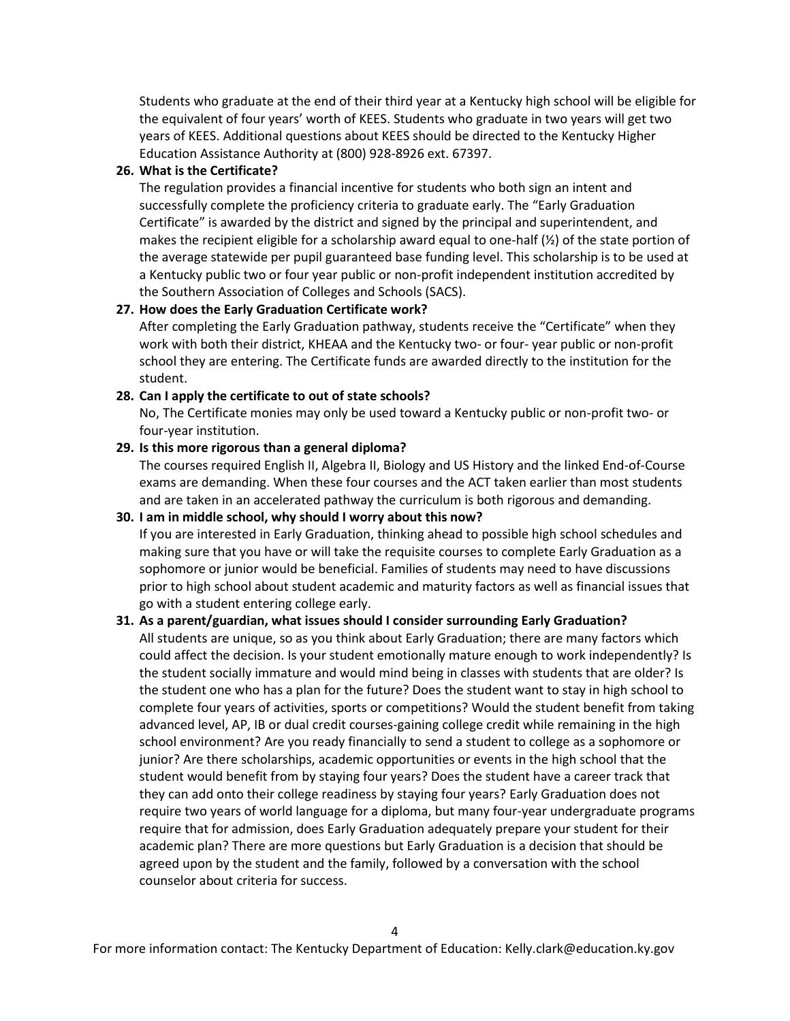Students who graduate at the end of their third year at a Kentucky high school will be eligible for the equivalent of four years' worth of KEES. Students who graduate in two years will get two years of KEES. Additional questions about KEES should be directed to the Kentucky Higher Education Assistance Authority at (800) 928-8926 ext. 67397.

#### **26. What is the Certificate?**

The regulation provides a financial incentive for students who both sign an intent and successfully complete the proficiency criteria to graduate early. The "Early Graduation Certificate" is awarded by the district and signed by the principal and superintendent, and makes the recipient eligible for a scholarship award equal to one-half  $\chi$ ) of the state portion of the average statewide per pupil guaranteed base funding level. This scholarship is to be used at a Kentucky public two or four year public or non-profit independent institution accredited by the Southern Association of Colleges and Schools (SACS).

### **27. How does the Early Graduation Certificate work?**

After completing the Early Graduation pathway, students receive the "Certificate" when they work with both their district, KHEAA and the Kentucky two- or four- year public or non-profit school they are entering. The Certificate funds are awarded directly to the institution for the student.

#### **28. Can I apply the certificate to out of state schools?**

No, The Certificate monies may only be used toward a Kentucky public or non-profit two- or four-year institution.

### **29. Is this more rigorous than a general diploma?**

The courses required English II, Algebra II, Biology and US History and the linked End-of-Course exams are demanding. When these four courses and the ACT taken earlier than most students and are taken in an accelerated pathway the curriculum is both rigorous and demanding.

### **30. I am in middle school, why should I worry about this now?**

If you are interested in Early Graduation, thinking ahead to possible high school schedules and making sure that you have or will take the requisite courses to complete Early Graduation as a sophomore or junior would be beneficial. Families of students may need to have discussions prior to high school about student academic and maturity factors as well as financial issues that go with a student entering college early.

### **31. As a parent/guardian, what issues should I consider surrounding Early Graduation?**

All students are unique, so as you think about Early Graduation; there are many factors which could affect the decision. Is your student emotionally mature enough to work independently? Is the student socially immature and would mind being in classes with students that are older? Is the student one who has a plan for the future? Does the student want to stay in high school to complete four years of activities, sports or competitions? Would the student benefit from taking advanced level, AP, IB or dual credit courses-gaining college credit while remaining in the high school environment? Are you ready financially to send a student to college as a sophomore or junior? Are there scholarships, academic opportunities or events in the high school that the student would benefit from by staying four years? Does the student have a career track that they can add onto their college readiness by staying four years? Early Graduation does not require two years of world language for a diploma, but many four-year undergraduate programs require that for admission, does Early Graduation adequately prepare your student for their academic plan? There are more questions but Early Graduation is a decision that should be agreed upon by the student and the family, followed by a conversation with the school counselor about criteria for success.